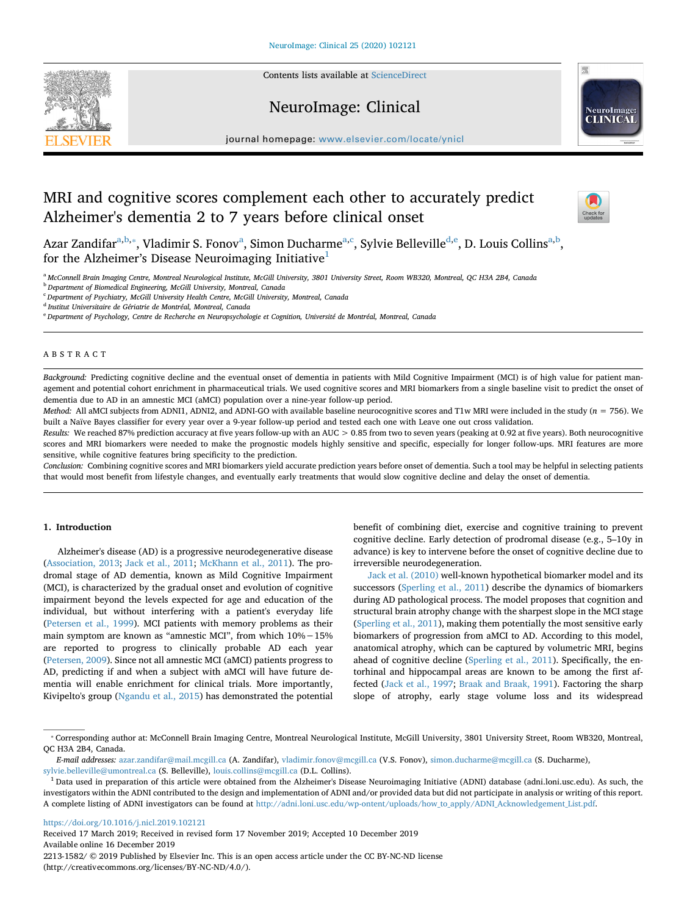Contents lists available at [ScienceDirect](http://www.sciencedirect.com/science/journal/22131582)







journal homepage: [www.elsevier.com/locate/ynicl](https://www.elsevier.com/locate/ynicl)

# MRI and cognitive scores complement each other to accurately predict Alzheimer's dementia 2 to 7 years before clinical onset



Azar Zandifar<sup>a,[b,](#page-0-1)</sup>\*, Vl[a](#page-0-0)dimir S. Fonov<sup>a</sup>, Simon Ducharme<sup>a[,c](#page-0-3)</sup>, Sylvie Belleville<sup>[d](#page-0-4)[,e](#page-0-5)</sup>, D. Louis Collins<sup>a,[b](#page-0-1)</sup>, for the Alzheimer's Disease Neuroimaging Initiative<sup>[1](#page-0-6)</sup>

<span id="page-0-0"></span><sup>a</sup> *McConnell Brain Imaging Centre, Montreal Neurological Institute, McGill University, 3801 University Street, Room WB320, Montreal, QC H3A 2B4, Canada*

<span id="page-0-1"></span><sup>b</sup> *Department of Biomedical Engineering, McGill University, Montreal, Canada*

<span id="page-0-3"></span><sup>c</sup> *Department of Psychiatry, McGill University Health Centre, McGill University, Montreal, Canada*

<span id="page-0-4"></span><sup>d</sup> *Institut Universitaire de Gériatrie de Montréal, Montreal, Canada*

<span id="page-0-5"></span><sup>e</sup> *Department of Psychology, Centre de Recherche en Neuropsychologie et Cognition, Université de Montréal, Montreal, Canada*

# ABSTRACT

*Background:* Predicting cognitive decline and the eventual onset of dementia in patients with Mild Cognitive Impairment (MCI) is of high value for patient management and potential cohort enrichment in pharmaceutical trials. We used cognitive scores and MRI biomarkers from a single baseline visit to predict the onset of dementia due to AD in an amnestic MCI (aMCI) population over a nine-year follow-up period.

*Method:* All aMCI subjects from ADNI1, ADNI2, and ADNI-GO with available baseline neurocognitive scores and T1w MRI were included in the study (*n* = 756). We built a Naïve Bayes classifier for every year over a 9-year follow-up period and tested each one with Leave one out cross validation.

*Results:* We reached 87% prediction accuracy at five years follow-up with an AUC > 0.85 from two to seven years (peaking at 0.92 at five years). Both neurocognitive scores and MRI biomarkers were needed to make the prognostic models highly sensitive and specific, especially for longer follow-ups. MRI features are more sensitive, while cognitive features bring specificity to the prediction.

*Conclusion:* Combining cognitive scores and MRI biomarkers yield accurate prediction years before onset of dementia. Such a tool may be helpful in selecting patients that would most benefit from lifestyle changes, and eventually early treatments that would slow cognitive decline and delay the onset of dementia.

# **1. Introduction**

Alzheimer's disease (AD) is a progressive neurodegenerative disease ([Association, 2013;](#page-5-0) [Jack et al., 2011](#page-5-1); [McKhann et al., 2011](#page-5-2)). The prodromal stage of AD dementia, known as Mild Cognitive Impairment (MCI), is characterized by the gradual onset and evolution of cognitive impairment beyond the levels expected for age and education of the individual, but without interfering with a patient's everyday life ([Petersen et al., 1999\)](#page-6-0). MCI patients with memory problems as their main symptom are known as "amnestic MCI", from which 10%−15% are reported to progress to clinically probable AD each year ([Petersen, 2009\)](#page-5-3). Since not all amnestic MCI (aMCI) patients progress to AD, predicting if and when a subject with aMCI will have future dementia will enable enrichment for clinical trials. More importantly, Kivipelto's group ([Ngandu et al., 2015](#page-5-4)) has demonstrated the potential

benefit of combining diet, exercise and cognitive training to prevent cognitive decline. Early detection of prodromal disease (e.g., 5–10y in advance) is key to intervene before the onset of cognitive decline due to irreversible neurodegeneration.

[Jack et al. \(2010\)](#page-5-5) well-known hypothetical biomarker model and its successors [\(Sperling et al., 2011\)](#page-6-1) describe the dynamics of biomarkers during AD pathological process. The model proposes that cognition and structural brain atrophy change with the sharpest slope in the MCI stage ([Sperling et al., 2011](#page-6-1)), making them potentially the most sensitive early biomarkers of progression from aMCI to AD. According to this model, anatomical atrophy, which can be captured by volumetric MRI, begins ahead of cognitive decline [\(Sperling et al., 2011](#page-6-1)). Specifically, the entorhinal and hippocampal areas are known to be among the first affected ([Jack et al., 1997](#page-5-6); [Braak and Braak, 1991](#page-5-7)). Factoring the sharp slope of atrophy, early stage volume loss and its widespread

<https://doi.org/10.1016/j.nicl.2019.102121>

Received 17 March 2019; Received in revised form 17 November 2019; Accepted 10 December 2019 Available online 16 December 2019 2213-1582/ © 2019 Published by Elsevier Inc. This is an open access article under the CC BY-NC-ND license (http://creativecommons.org/licenses/BY-NC-ND/4.0/).

<span id="page-0-2"></span><sup>⁎</sup> Corresponding author at: McConnell Brain Imaging Centre, Montreal Neurological Institute, McGill University, 3801 University Street, Room WB320, Montreal, QC H3A 2B4, Canada.

*E-mail addresses:* [azar.zandifar@mail.mcgill.ca](mailto:azar.zandifar@mail.mcgill.ca) (A. Zandifar), [vladimir.fonov@mcgill.ca](mailto:vladimir.fonov@mcgill.ca) (V.S. Fonov), [simon.ducharme@mcgill.ca](mailto:simon.ducharme@mcgill.ca) (S. Ducharme), [sylvie.belleville@umontreal.ca](mailto:sylvie.belleville@umontreal.ca) (S. Belleville), [louis.collins@mcgill.ca](mailto:louis.collins@mcgill.ca) (D.L. Collins).

<span id="page-0-6"></span><sup>&</sup>lt;sup>1</sup> Data used in preparation of this article were obtained from the Alzheimer's Disease Neuroimaging Initiative (ADNI) database (adni.loni.usc.edu). As such, the investigators within the ADNI contributed to the design and implementation of ADNI and/or provided data but did not participate in analysis or writing of this report. A complete listing of ADNI investigators can be found at [http://adni.loni.usc.edu/wp-ontent/uploads/how\\_to\\_apply/ADNI\\_Acknowledgement\\_List.pdf](http://adni.loni.usc.edu/wp-ontent/uploads/how_to_apply/ADNI_Acknowledgement_List.pdf).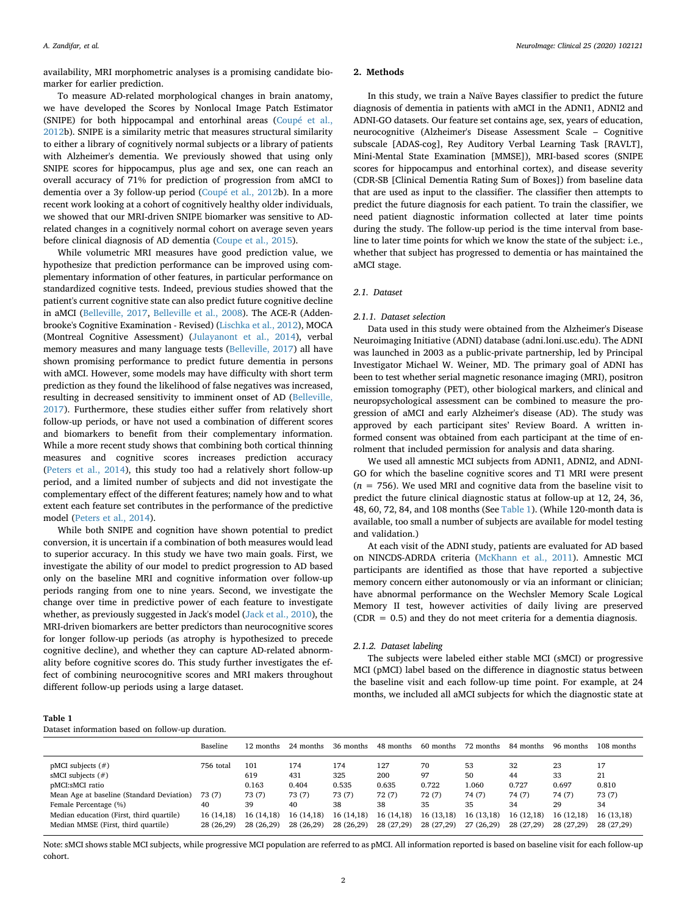availability, MRI morphometric analyses is a promising candidate biomarker for earlier prediction.

To measure AD-related morphological changes in brain anatomy, we have developed the Scores by Nonlocal Image Patch Estimator (SNIPE) for both hippocampal and entorhinal areas ([Coupé et al.,](#page-5-8) [2012b](#page-5-8)). SNIPE is a similarity metric that measures structural similarity to either a library of cognitively normal subjects or a library of patients with Alzheimer's dementia. We previously showed that using only SNIPE scores for hippocampus, plus age and sex, one can reach an overall accuracy of 71% for prediction of progression from aMCI to dementia over a 3y follow-up period [\(Coupé et al., 2012](#page-5-8)b). In a more recent work looking at a cohort of cognitively healthy older individuals, we showed that our MRI-driven SNIPE biomarker was sensitive to ADrelated changes in a cognitively normal cohort on average seven years before clinical diagnosis of AD dementia ([Coupe et al., 2015](#page-5-9)).

While volumetric MRI measures have good prediction value, we hypothesize that prediction performance can be improved using complementary information of other features, in particular performance on standardized cognitive tests. Indeed, previous studies showed that the patient's current cognitive state can also predict future cognitive decline in aMCI [\(Belleville, 2017,](#page-5-10) [Belleville et al., 2008](#page-5-11)). The ACE-R (Addenbrooke's Cognitive Examination - Revised) [\(Lischka et al., 2012](#page-5-12)), MOCA (Montreal Cognitive Assessment) ([Julayanont et al., 2014](#page-5-13)), verbal memory measures and many language tests [\(Belleville, 2017\)](#page-5-10) all have shown promising performance to predict future dementia in persons with aMCI. However, some models may have difficulty with short term prediction as they found the likelihood of false negatives was increased, resulting in decreased sensitivity to imminent onset of AD ([Belleville,](#page-5-10) [2017\)](#page-5-10). Furthermore, these studies either suffer from relatively short follow-up periods, or have not used a combination of different scores and biomarkers to benefit from their complementary information. While a more recent study shows that combining both cortical thinning measures and cognitive scores increases prediction accuracy ([Peters et al., 2014\)](#page-5-14), this study too had a relatively short follow-up period, and a limited number of subjects and did not investigate the complementary effect of the different features; namely how and to what extent each feature set contributes in the performance of the predictive model [\(Peters et al., 2014\)](#page-5-14).

While both SNIPE and cognition have shown potential to predict conversion, it is uncertain if a combination of both measures would lead to superior accuracy. In this study we have two main goals. First, we investigate the ability of our model to predict progression to AD based only on the baseline MRI and cognitive information over follow-up periods ranging from one to nine years. Second, we investigate the change over time in predictive power of each feature to investigate whether, as previously suggested in Jack's model [\(Jack et al., 2010](#page-5-5)), the MRI-driven biomarkers are better predictors than neurocognitive scores for longer follow-up periods (as atrophy is hypothesized to precede cognitive decline), and whether they can capture AD-related abnormality before cognitive scores do. This study further investigates the effect of combining neurocognitive scores and MRI makers throughout different follow-up periods using a large dataset.

#### **2. Methods**

In this study, we train a Naïve Bayes classifier to predict the future diagnosis of dementia in patients with aMCI in the ADNI1, ADNI2 and ADNI-GO datasets. Our feature set contains age, sex, years of education, neurocognitive (Alzheimer's Disease Assessment Scale – Cognitive subscale [ADAS-cog], Rey Auditory Verbal Learning Task [RAVLT], Mini-Mental State Examination [MMSE]), MRI-based scores (SNIPE scores for hippocampus and entorhinal cortex), and disease severity (CDR-SB [Clinical Dementia Rating Sum of Boxes]) from baseline data that are used as input to the classifier. The classifier then attempts to predict the future diagnosis for each patient. To train the classifier, we need patient diagnostic information collected at later time points during the study. The follow-up period is the time interval from baseline to later time points for which we know the state of the subject: i.e., whether that subject has progressed to dementia or has maintained the aMCI stage.

#### *2.1. Dataset*

#### *2.1.1. Dataset selection*

Data used in this study were obtained from the Alzheimer's Disease Neuroimaging Initiative (ADNI) database (adni.loni.usc.edu). The ADNI was launched in 2003 as a public-private partnership, led by Principal Investigator Michael W. Weiner, MD. The primary goal of ADNI has been to test whether serial magnetic resonance imaging (MRI), positron emission tomography (PET), other biological markers, and clinical and neuropsychological assessment can be combined to measure the progression of aMCI and early Alzheimer's disease (AD). The study was approved by each participant sites' Review Board. A written informed consent was obtained from each participant at the time of enrolment that included permission for analysis and data sharing.

We used all amnestic MCI subjects from ADNI1, ADNI2, and ADNI-GO for which the baseline cognitive scores and T1 MRI were present  $(n = 756)$ . We used MRI and cognitive data from the baseline visit to predict the future clinical diagnostic status at follow-up at 12, 24, 36, 48, 60, 72, 84, and 108 months (See [Table 1\)](#page-1-0). (While 120-month data is available, too small a number of subjects are available for model testing and validation.)

At each visit of the ADNI study, patients are evaluated for AD based on NINCDS-ADRDA criteria [\(McKhann et al., 2011\)](#page-5-2). Amnestic MCI participants are identified as those that have reported a subjective memory concern either autonomously or via an informant or clinician; have abnormal performance on the Wechsler Memory Scale Logical Memory II test, however activities of daily living are preserved  $(CDR = 0.5)$  and they do not meet criteria for a dementia diagnosis.

#### *2.1.2. Dataset labeling*

The subjects were labeled either stable MCI (sMCI) or progressive MCI (pMCI) label based on the difference in diagnostic status between the baseline visit and each follow-up time point. For example, at 24 months, we included all aMCI subjects for which the diagnostic state at

<span id="page-1-0"></span>

| anı<br>١f |  |
|-----------|--|
|-----------|--|

Dataset information based on follow-up duration.

|                                                                                                                                                                                                                            | Baseline                                              | 12 months                                                      | 24 months                                                       | 36 months                                                       | 48 months                                                     | 60 months                                                    | 72 months                                                     | 84 months                                                     | 96 months                                                    | 108 months                                                   |
|----------------------------------------------------------------------------------------------------------------------------------------------------------------------------------------------------------------------------|-------------------------------------------------------|----------------------------------------------------------------|-----------------------------------------------------------------|-----------------------------------------------------------------|---------------------------------------------------------------|--------------------------------------------------------------|---------------------------------------------------------------|---------------------------------------------------------------|--------------------------------------------------------------|--------------------------------------------------------------|
| $pMCI$ subjects $(\#)$<br>sMCI subjects $(\#)$<br>pMCI:sMCI ratio<br>Mean Age at baseline (Standard Deviation)<br>Female Percentage (%)<br>Median education (First, third quartile)<br>Median MMSE (First, third quartile) | 756 total<br>73 (7)<br>40<br>16 (14,18)<br>28 (26,29) | 101<br>619<br>0.163<br>73 (7)<br>39<br>16(14,18)<br>28 (26,29) | 174<br>431<br>0.404<br>73 (7)<br>40<br>16 (14,18)<br>28 (26,29) | 174<br>325<br>0.535<br>73 (7)<br>38<br>16 (14,18)<br>28 (26,29) | 127<br>200<br>0.635<br>72(7)<br>38<br>16(14,18)<br>28 (27,29) | 70<br>97<br>0.722<br>72(7)<br>35<br>16 (13,18)<br>28 (27,29) | 53<br>50<br>1.060<br>74 (7)<br>35<br>16 (13,18)<br>27 (26,29) | 32<br>44<br>0.727<br>74 (7)<br>34<br>16 (12,18)<br>28 (27,29) | 23<br>33<br>0.697<br>74 (7)<br>29<br>16(12,18)<br>28 (27.29) | 17<br>21<br>0.810<br>73 (7)<br>34<br>16(13,18)<br>28 (27.29) |
|                                                                                                                                                                                                                            |                                                       |                                                                |                                                                 |                                                                 |                                                               |                                                              |                                                               |                                                               |                                                              |                                                              |

Note: sMCI shows stable MCI subjects, while progressive MCI population are referred to as pMCI. All information reported is based on baseline visit for each follow-up cohort.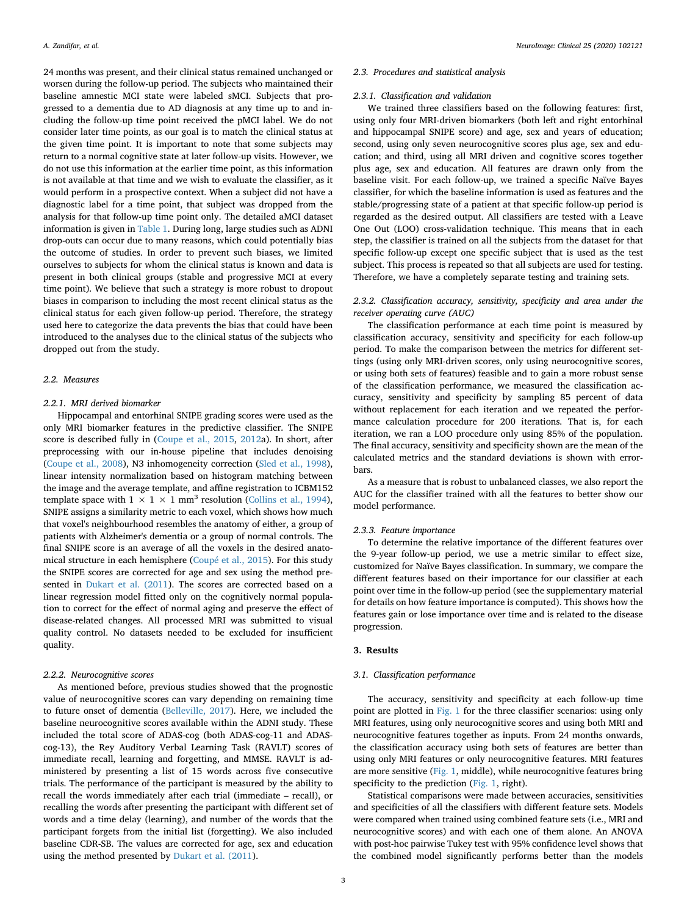24 months was present, and their clinical status remained unchanged or worsen during the follow-up period. The subjects who maintained their baseline amnestic MCI state were labeled sMCI. Subjects that progressed to a dementia due to AD diagnosis at any time up to and including the follow-up time point received the pMCI label. We do not consider later time points, as our goal is to match the clinical status at the given time point. It is important to note that some subjects may return to a normal cognitive state at later follow-up visits. However, we do not use this information at the earlier time point, as this information is not available at that time and we wish to evaluate the classifier, as it would perform in a prospective context. When a subject did not have a diagnostic label for a time point, that subject was dropped from the analysis for that follow-up time point only. The detailed aMCI dataset information is given in [Table 1](#page-1-0). During long, large studies such as ADNI drop-outs can occur due to many reasons, which could potentially bias the outcome of studies. In order to prevent such biases, we limited ourselves to subjects for whom the clinical status is known and data is present in both clinical groups (stable and progressive MCI at every time point). We believe that such a strategy is more robust to dropout biases in comparison to including the most recent clinical status as the clinical status for each given follow-up period. Therefore, the strategy used here to categorize the data prevents the bias that could have been introduced to the analyses due to the clinical status of the subjects who dropped out from the study.

#### *2.2. Measures*

## *2.2.1. MRI derived biomarker*

Hippocampal and entorhinal SNIPE grading scores were used as the only MRI biomarker features in the predictive classifier. The SNIPE score is described fully in [\(Coupe et al., 2015](#page-5-9), [2012a](#page-5-15)). In short, after preprocessing with our in-house pipeline that includes denoising ([Coupe et al., 2008\)](#page-5-16), N3 inhomogeneity correction ([Sled et al., 1998](#page-6-2)), linear intensity normalization based on histogram matching between the image and the average template, and affine registration to ICBM152 template space with  $1 \times 1 \times 1$  mm<sup>3</sup> resolution ([Collins et al., 1994](#page-5-17)), SNIPE assigns a similarity metric to each voxel, which shows how much that voxel's neighbourhood resembles the anatomy of either, a group of patients with Alzheimer's dementia or a group of normal controls. The final SNIPE score is an average of all the voxels in the desired anatomical structure in each hemisphere ([Coupé et al., 2015](#page-5-9)). For this study the SNIPE scores are corrected for age and sex using the method presented in [Dukart et al. \(2011](#page-5-18)). The scores are corrected based on a linear regression model fitted only on the cognitively normal population to correct for the effect of normal aging and preserve the effect of disease-related changes. All processed MRI was submitted to visual quality control. No datasets needed to be excluded for insufficient quality.

## *2.2.2. Neurocognitive scores*

As mentioned before, previous studies showed that the prognostic value of neurocognitive scores can vary depending on remaining time to future onset of dementia ([Belleville, 2017\)](#page-5-10). Here, we included the baseline neurocognitive scores available within the ADNI study. These included the total score of ADAS-cog (both ADAS-cog-11 and ADAScog-13), the Rey Auditory Verbal Learning Task (RAVLT) scores of immediate recall, learning and forgetting, and MMSE. RAVLT is administered by presenting a list of 15 words across five consecutive trials. The performance of the participant is measured by the ability to recall the words immediately after each trial (immediate – recall), or recalling the words after presenting the participant with different set of words and a time delay (learning), and number of the words that the participant forgets from the initial list (forgetting). We also included baseline CDR-SB. The values are corrected for age, sex and education using the method presented by [Dukart et al. \(2011\)](#page-5-18).

#### *2.3. Procedures and statistical analysis*

#### *2.3.1. Classification and validation*

We trained three classifiers based on the following features: first, using only four MRI-driven biomarkers (both left and right entorhinal and hippocampal SNIPE score) and age, sex and years of education; second, using only seven neurocognitive scores plus age, sex and education; and third, using all MRI driven and cognitive scores together plus age, sex and education. All features are drawn only from the baseline visit. For each follow-up, we trained a specific Naïve Bayes classifier, for which the baseline information is used as features and the stable/progressing state of a patient at that specific follow-up period is regarded as the desired output. All classifiers are tested with a Leave One Out (LOO) cross-validation technique. This means that in each step, the classifier is trained on all the subjects from the dataset for that specific follow-up except one specific subject that is used as the test subject. This process is repeated so that all subjects are used for testing. Therefore, we have a completely separate testing and training sets.

## *2.3.2. Classification accuracy, sensitivity, specificity and area under the receiver operating curve (AUC)*

The classification performance at each time point is measured by classification accuracy, sensitivity and specificity for each follow-up period. To make the comparison between the metrics for different settings (using only MRI-driven scores, only using neurocognitive scores, or using both sets of features) feasible and to gain a more robust sense of the classification performance, we measured the classification accuracy, sensitivity and specificity by sampling 85 percent of data without replacement for each iteration and we repeated the performance calculation procedure for 200 iterations. That is, for each iteration, we ran a LOO procedure only using 85% of the population. The final accuracy, sensitivity and specificity shown are the mean of the calculated metrics and the standard deviations is shown with errorbars.

As a measure that is robust to unbalanced classes, we also report the AUC for the classifier trained with all the features to better show our model performance.

#### *2.3.3. Feature importance*

To determine the relative importance of the different features over the 9-year follow-up period, we use a metric similar to effect size, customized for Naïve Bayes classification. In summary, we compare the different features based on their importance for our classifier at each point over time in the follow-up period (see the supplementary material for details on how feature importance is computed). This shows how the features gain or lose importance over time and is related to the disease progression.

#### **3. Results**

# *3.1. Classification performance*

The accuracy, sensitivity and specificity at each follow-up time point are plotted in [Fig. 1](#page-3-0) for the three classifier scenarios: using only MRI features, using only neurocognitive scores and using both MRI and neurocognitive features together as inputs. From 24 months onwards, the classification accuracy using both sets of features are better than using only MRI features or only neurocognitive features. MRI features are more sensitive ([Fig. 1,](#page-3-0) middle), while neurocognitive features bring specificity to the prediction [\(Fig. 1,](#page-3-0) right).

Statistical comparisons were made between accuracies, sensitivities and specificities of all the classifiers with different feature sets. Models were compared when trained using combined feature sets (i.e., MRI and neurocognitive scores) and with each one of them alone. An ANOVA with post-hoc pairwise Tukey test with 95% confidence level shows that the combined model significantly performs better than the models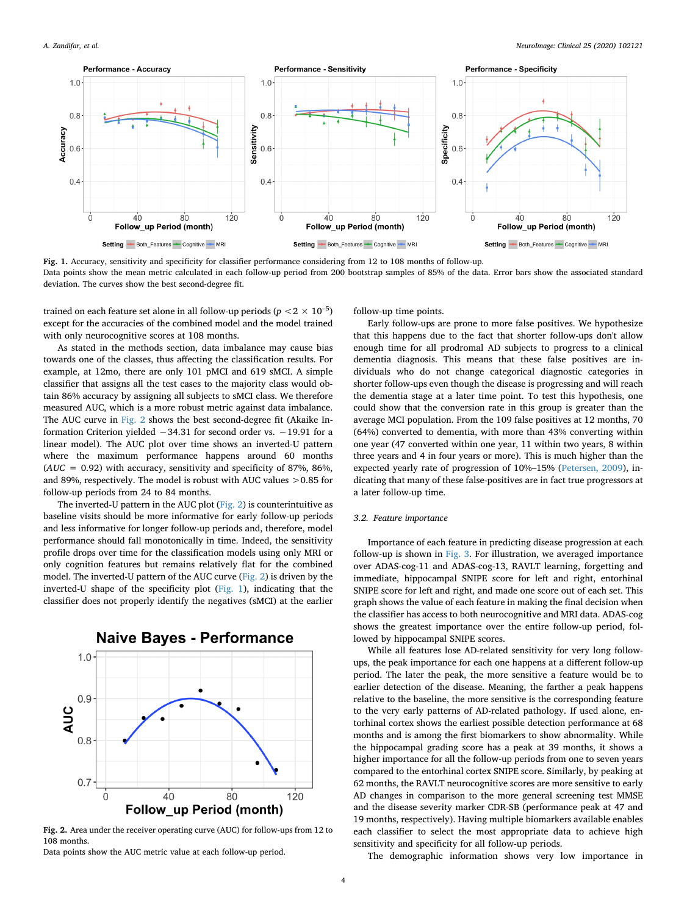<span id="page-3-0"></span>

**Fig. 1.** Accuracy, sensitivity and specificity for classifier performance considering from 12 to 108 months of follow-up. Data points show the mean metric calculated in each follow-up period from 200 bootstrap samples of 85% of the data. Error bars show the associated standard deviation. The curves show the best second-degree fit.

trained on each feature set alone in all follow-up periods ( $p < 2 \times 10^{-5}$ ) except for the accuracies of the combined model and the model trained with only neurocognitive scores at 108 months.

As stated in the methods section, data imbalance may cause bias towards one of the classes, thus affecting the classification results. For example, at 12mo, there are only 101 pMCI and 619 sMCI. A simple classifier that assigns all the test cases to the majority class would obtain 86% accuracy by assigning all subjects to sMCI class. We therefore measured AUC, which is a more robust metric against data imbalance. The AUC curve in [Fig. 2](#page-3-1) shows the best second-degree fit (Akaike Information Criterion yielded −34.31 for second order vs. −19.91 for a linear model). The AUC plot over time shows an inverted-U pattern where the maximum performance happens around 60 months  $(AUC = 0.92)$  with accuracy, sensitivity and specificity of 87%, 86%, and 89%, respectively. The model is robust with AUC values >0.85 for follow-up periods from 24 to 84 months.

The inverted-U pattern in the AUC plot ([Fig. 2](#page-3-1)) is counterintuitive as baseline visits should be more informative for early follow-up periods and less informative for longer follow-up periods and, therefore, model performance should fall monotonically in time. Indeed, the sensitivity profile drops over time for the classification models using only MRI or only cognition features but remains relatively flat for the combined model. The inverted-U pattern of the AUC curve [\(Fig. 2\)](#page-3-1) is driven by the inverted-U shape of the specificity plot [\(Fig. 1](#page-3-0)), indicating that the classifier does not properly identify the negatives (sMCI) at the earlier

<span id="page-3-1"></span>

**Fig. 2.** Area under the receiver operating curve (AUC) for follow-ups from 12 to 108 months.

Data points show the AUC metric value at each follow-up period.

follow-up time points.

Early follow-ups are prone to more false positives. We hypothesize that this happens due to the fact that shorter follow-ups don't allow enough time for all prodromal AD subjects to progress to a clinical dementia diagnosis. This means that these false positives are individuals who do not change categorical diagnostic categories in shorter follow-ups even though the disease is progressing and will reach the dementia stage at a later time point. To test this hypothesis, one could show that the conversion rate in this group is greater than the average MCI population. From the 109 false positives at 12 months, 70 (64%) converted to dementia, with more than 43% converting within one year (47 converted within one year, 11 within two years, 8 within three years and 4 in four years or more). This is much higher than the expected yearly rate of progression of 10%–15% [\(Petersen, 2009](#page-5-3)), indicating that many of these false-positives are in fact true progressors at a later follow-up time.

## *3.2. Feature importance*

Importance of each feature in predicting disease progression at each follow-up is shown in [Fig. 3](#page-4-0). For illustration, we averaged importance over ADAS-cog-11 and ADAS-cog-13, RAVLT learning, forgetting and immediate, hippocampal SNIPE score for left and right, entorhinal SNIPE score for left and right, and made one score out of each set. This graph shows the value of each feature in making the final decision when the classifier has access to both neurocognitive and MRI data. ADAS-cog shows the greatest importance over the entire follow-up period, followed by hippocampal SNIPE scores.

While all features lose AD-related sensitivity for very long followups, the peak importance for each one happens at a different follow-up period. The later the peak, the more sensitive a feature would be to earlier detection of the disease. Meaning, the farther a peak happens relative to the baseline, the more sensitive is the corresponding feature to the very early patterns of AD-related pathology. If used alone, entorhinal cortex shows the earliest possible detection performance at 68 months and is among the first biomarkers to show abnormality. While the hippocampal grading score has a peak at 39 months, it shows a higher importance for all the follow-up periods from one to seven years compared to the entorhinal cortex SNIPE score. Similarly, by peaking at 62 months, the RAVLT neurocognitive scores are more sensitive to early AD changes in comparison to the more general screening test MMSE and the disease severity marker CDR-SB (performance peak at 47 and 19 months, respectively). Having multiple biomarkers available enables each classifier to select the most appropriate data to achieve high sensitivity and specificity for all follow-up periods.

The demographic information shows very low importance in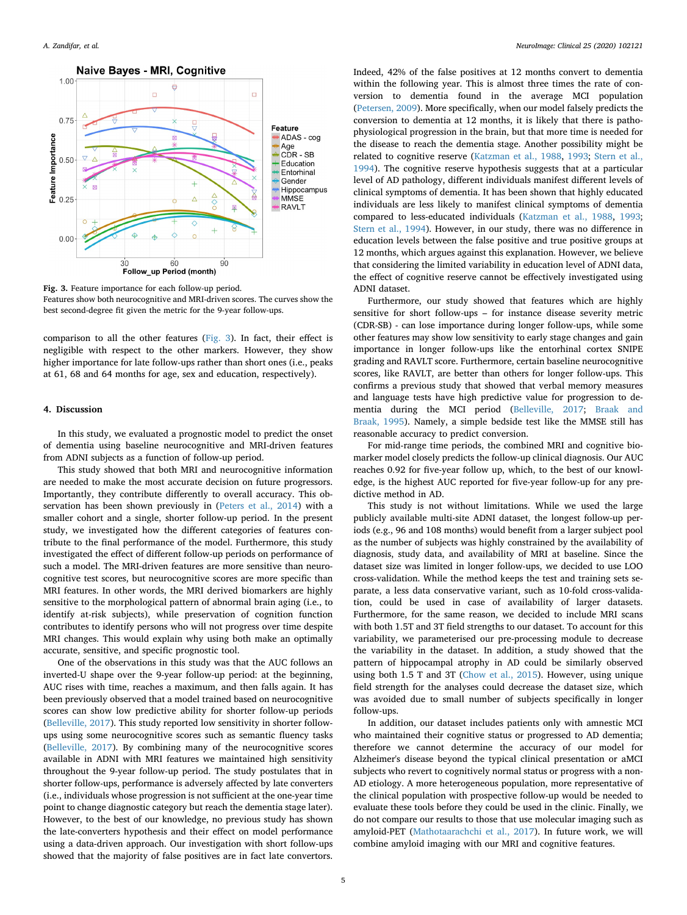<span id="page-4-0"></span>

**Fig. 3.** Feature importance for each follow-up period. Features show both neurocognitive and MRI-driven scores. The curves show the best second-degree fit given the metric for the 9-year follow-ups.

comparison to all the other features [\(Fig. 3\)](#page-4-0). In fact, their effect is negligible with respect to the other markers. However, they show higher importance for late follow-ups rather than short ones (i.e., peaks at 61, 68 and 64 months for age, sex and education, respectively).

## **4. Discussion**

In this study, we evaluated a prognostic model to predict the onset of dementia using baseline neurocognitive and MRI-driven features from ADNI subjects as a function of follow-up period.

This study showed that both MRI and neurocognitive information are needed to make the most accurate decision on future progressors. Importantly, they contribute differently to overall accuracy. This observation has been shown previously in [\(Peters et al., 2014](#page-5-14)) with a smaller cohort and a single, shorter follow-up period. In the present study, we investigated how the different categories of features contribute to the final performance of the model. Furthermore, this study investigated the effect of different follow-up periods on performance of such a model. The MRI-driven features are more sensitive than neurocognitive test scores, but neurocognitive scores are more specific than MRI features. In other words, the MRI derived biomarkers are highly sensitive to the morphological pattern of abnormal brain aging (i.e., to identify at-risk subjects), while preservation of cognition function contributes to identify persons who will not progress over time despite MRI changes. This would explain why using both make an optimally accurate, sensitive, and specific prognostic tool.

One of the observations in this study was that the AUC follows an inverted-U shape over the 9-year follow-up period: at the beginning, AUC rises with time, reaches a maximum, and then falls again. It has been previously observed that a model trained based on neurocognitive scores can show low predictive ability for shorter follow-up periods ([Belleville, 2017\)](#page-5-10). This study reported low sensitivity in shorter followups using some neurocognitive scores such as semantic fluency tasks ([Belleville, 2017](#page-5-10)). By combining many of the neurocognitive scores available in ADNI with MRI features we maintained high sensitivity throughout the 9-year follow-up period. The study postulates that in shorter follow-ups, performance is adversely affected by late converters (i.e., individuals whose progression is not sufficient at the one-year time point to change diagnostic category but reach the dementia stage later). However, to the best of our knowledge, no previous study has shown the late-converters hypothesis and their effect on model performance using a data-driven approach. Our investigation with short follow-ups showed that the majority of false positives are in fact late convertors.

Indeed, 42% of the false positives at 12 months convert to dementia within the following year. This is almost three times the rate of conversion to dementia found in the average MCI population ([Petersen, 2009\)](#page-5-3). More specifically, when our model falsely predicts the conversion to dementia at 12 months, it is likely that there is pathophysiological progression in the brain, but that more time is needed for the disease to reach the dementia stage. Another possibility might be related to cognitive reserve [\(Katzman et al., 1988,](#page-5-19) [1993](#page-5-20); [Stern et al.,](#page-6-3) [1994\)](#page-6-3). The cognitive reserve hypothesis suggests that at a particular level of AD pathology, different individuals manifest different levels of clinical symptoms of dementia. It has been shown that highly educated individuals are less likely to manifest clinical symptoms of dementia compared to less-educated individuals [\(Katzman et al., 1988](#page-5-19), [1993](#page-5-20); [Stern et al., 1994](#page-6-3)). However, in our study, there was no difference in education levels between the false positive and true positive groups at 12 months, which argues against this explanation. However, we believe that considering the limited variability in education level of ADNI data, the effect of cognitive reserve cannot be effectively investigated using ADNI dataset.

Furthermore, our study showed that features which are highly sensitive for short follow-ups – for instance disease severity metric (CDR-SB) - can lose importance during longer follow-ups, while some other features may show low sensitivity to early stage changes and gain importance in longer follow-ups like the entorhinal cortex SNIPE grading and RAVLT score. Furthermore, certain baseline neurocognitive scores, like RAVLT, are better than others for longer follow-ups. This confirms a previous study that showed that verbal memory measures and language tests have high predictive value for progression to dementia during the MCI period [\(Belleville, 2017](#page-5-10); [Braak and](#page-5-21) [Braak, 1995\)](#page-5-21). Namely, a simple bedside test like the MMSE still has reasonable accuracy to predict conversion.

For mid-range time periods, the combined MRI and cognitive biomarker model closely predicts the follow-up clinical diagnosis. Our AUC reaches 0.92 for five-year follow up, which, to the best of our knowledge, is the highest AUC reported for five-year follow-up for any predictive method in AD.

This study is not without limitations. While we used the large publicly available multi-site ADNI dataset, the longest follow-up periods (e.g., 96 and 108 months) would benefit from a larger subject pool as the number of subjects was highly constrained by the availability of diagnosis, study data, and availability of MRI at baseline. Since the dataset size was limited in longer follow-ups, we decided to use LOO cross-validation. While the method keeps the test and training sets separate, a less data conservative variant, such as 10-fold cross-validation, could be used in case of availability of larger datasets. Furthermore, for the same reason, we decided to include MRI scans with both 1.5T and 3T field strengths to our dataset. To account for this variability, we parameterised our pre-processing module to decrease the variability in the dataset. In addition, a study showed that the pattern of hippocampal atrophy in AD could be similarly observed using both 1.5 T and 3T [\(Chow et al., 2015](#page-5-22)). However, using unique field strength for the analyses could decrease the dataset size, which was avoided due to small number of subjects specifically in longer follow-ups.

In addition, our dataset includes patients only with amnestic MCI who maintained their cognitive status or progressed to AD dementia; therefore we cannot determine the accuracy of our model for Alzheimer's disease beyond the typical clinical presentation or aMCI subjects who revert to cognitively normal status or progress with a non-AD etiology. A more heterogeneous population, more representative of the clinical population with prospective follow-up would be needed to evaluate these tools before they could be used in the clinic. Finally, we do not compare our results to those that use molecular imaging such as amyloid-PET [\(Mathotaarachchi et al., 2017](#page-5-23)). In future work, we will combine amyloid imaging with our MRI and cognitive features.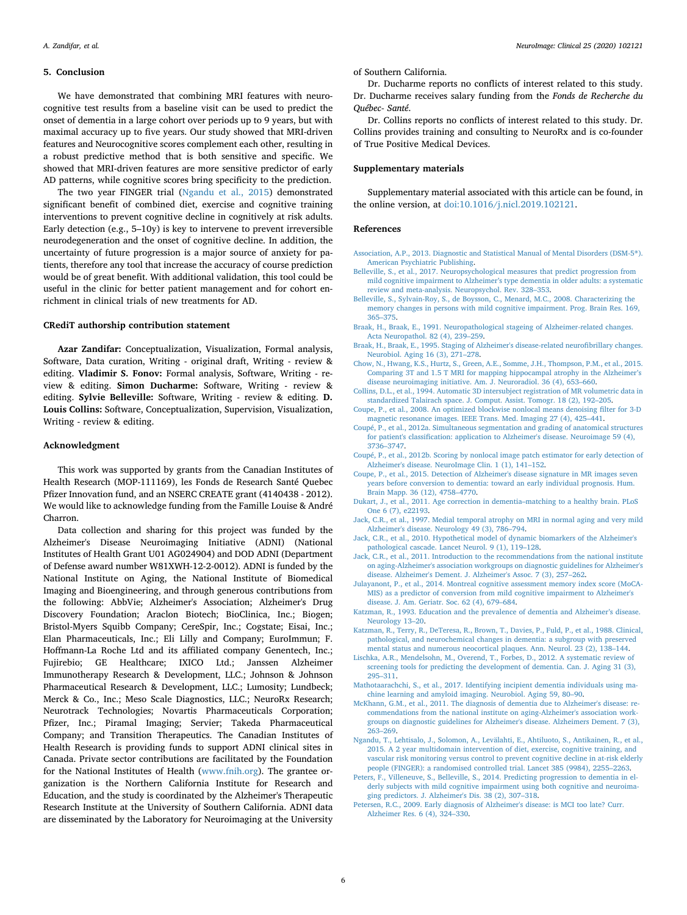#### **5. Conclusion**

We have demonstrated that combining MRI features with neurocognitive test results from a baseline visit can be used to predict the onset of dementia in a large cohort over periods up to 9 years, but with maximal accuracy up to five years. Our study showed that MRI-driven features and Neurocognitive scores complement each other, resulting in a robust predictive method that is both sensitive and specific. We showed that MRI-driven features are more sensitive predictor of early AD patterns, while cognitive scores bring specificity to the prediction.

The two year FINGER trial [\(Ngandu et al., 2015](#page-5-4)) demonstrated significant benefit of combined diet, exercise and cognitive training interventions to prevent cognitive decline in cognitively at risk adults. Early detection (e.g., 5–10y) is key to intervene to prevent irreversible neurodegeneration and the onset of cognitive decline. In addition, the uncertainty of future progression is a major source of anxiety for patients, therefore any tool that increase the accuracy of course prediction would be of great benefit. With additional validation, this tool could be useful in the clinic for better patient management and for cohort enrichment in clinical trials of new treatments for AD.

#### **CRediT authorship contribution statement**

**Azar Zandifar:** Conceptualization, Visualization, Formal analysis, Software, Data curation, Writing - original draft, Writing - review & editing. **Vladimir S. Fonov:** Formal analysis, Software, Writing - review & editing. **Simon Ducharme:** Software, Writing - review & editing. **Sylvie Belleville:** Software, Writing - review & editing. **D. Louis Collins:** Software, Conceptualization, Supervision, Visualization, Writing - review & editing.

## **Acknowledgment**

This work was supported by grants from the Canadian Institutes of Health Research (MOP-111169), les Fonds de Research Santé Quebec Pfizer Innovation fund, and an NSERC CREATE grant (4140438 - 2012). We would like to acknowledge funding from the Famille Louise & André Charron.

Data collection and sharing for this project was funded by the Alzheimer's Disease Neuroimaging Initiative (ADNI) (National Institutes of Health Grant U01 AG024904) and DOD ADNI (Department of Defense award number W81XWH-12-2-0012). ADNI is funded by the National Institute on Aging, the National Institute of Biomedical Imaging and Bioengineering, and through generous contributions from the following: AbbVie; Alzheimer's Association; Alzheimer's Drug Discovery Foundation; Araclon Biotech; BioClinica, Inc.; Biogen; Bristol-Myers Squibb Company; CereSpir, Inc.; Cogstate; Eisai, Inc.; Elan Pharmaceuticals, Inc.; Eli Lilly and Company; EuroImmun; F. Hoffmann-La Roche Ltd and its affiliated company Genentech, Inc.; Fujirebio; GE Healthcare; IXICO Ltd.; Janssen Alzheimer Immunotherapy Research & Development, LLC.; Johnson & Johnson Pharmaceutical Research & Development, LLC.; Lumosity; Lundbeck; Merck & Co., Inc.; Meso Scale Diagnostics, LLC.; NeuroRx Research; Neurotrack Technologies; Novartis Pharmaceuticals Corporation; Pfizer, Inc.; Piramal Imaging; Servier; Takeda Pharmaceutical Company; and Transition Therapeutics. The Canadian Institutes of Health Research is providing funds to support ADNI clinical sites in Canada. Private sector contributions are facilitated by the Foundation for the National Institutes of Health ([www.fnih.org\)](http://www.fnih.org). The grantee organization is the Northern California Institute for Research and Education, and the study is coordinated by the Alzheimer's Therapeutic Research Institute at the University of Southern California. ADNI data are disseminated by the Laboratory for Neuroimaging at the University

of Southern California.

Dr. Ducharme reports no conflicts of interest related to this study. Dr. Ducharme receives salary funding from the *Fonds de Recherche du Québec- Santé*.

Dr. Collins reports no conflicts of interest related to this study. Dr. Collins provides training and consulting to NeuroRx and is co-founder of True Positive Medical Devices.

## **Supplementary materials**

Supplementary material associated with this article can be found, in the online version, at [doi:10.1016/j.nicl.2019.102121.](https://doi.org/10.1016/j.nicl.2019.102121)

## **References**

- <span id="page-5-0"></span>[Association, A.P., 2013. Diagnostic and Statistical Manual of Mental Disorders \(DSM-5](http://refhub.elsevier.com/S2213-1582(19)30468-1/sbref0001)®). [American Psychiatric Publishing.](http://refhub.elsevier.com/S2213-1582(19)30468-1/sbref0001)
- <span id="page-5-10"></span>[Belleville, S., et al., 2017. Neuropsychological measures that predict progression from](http://refhub.elsevier.com/S2213-1582(19)30468-1/sbref0003) [mild cognitive impairment to Alzheimer's type dementia in older adults: a systematic](http://refhub.elsevier.com/S2213-1582(19)30468-1/sbref0003) [review and meta-analysis. Neuropsychol. Rev. 328–353.](http://refhub.elsevier.com/S2213-1582(19)30468-1/sbref0003)
- <span id="page-5-11"></span>[Belleville, S., Sylvain-Roy, S., de Boysson, C., Menard, M.C., 2008. Characterizing the](http://refhub.elsevier.com/S2213-1582(19)30468-1/sbref0002) [memory changes in persons with mild cognitive impairment. Prog. Brain Res. 169,](http://refhub.elsevier.com/S2213-1582(19)30468-1/sbref0002) [365–375](http://refhub.elsevier.com/S2213-1582(19)30468-1/sbref0002).
- <span id="page-5-7"></span>[Braak, H., Braak, E., 1991. Neuropathological stageing of Alzheimer-related changes.](http://refhub.elsevier.com/S2213-1582(19)30468-1/sbref0004) [Acta Neuropathol. 82 \(4\), 239–259.](http://refhub.elsevier.com/S2213-1582(19)30468-1/sbref0004)
- <span id="page-5-21"></span>[Braak, H., Braak, E., 1995. Staging of Alzheimer's disease-related neurofibrillary changes.](http://refhub.elsevier.com/S2213-1582(19)30468-1/sbref0005) [Neurobiol. Aging 16 \(3\), 271–278.](http://refhub.elsevier.com/S2213-1582(19)30468-1/sbref0005)
- <span id="page-5-22"></span>[Chow, N., Hwang, K.S., Hurtz, S., Green, A.E., Somme, J.H., Thompson, P.M., et al., 2015.](http://refhub.elsevier.com/S2213-1582(19)30468-1/sbref0006) [Comparing 3T and 1.5 T MRI for mapping hippocampal atrophy in the Alzheimer's](http://refhub.elsevier.com/S2213-1582(19)30468-1/sbref0006) [disease neuroimaging initiative. Am. J. Neuroradiol. 36 \(4\), 653–660](http://refhub.elsevier.com/S2213-1582(19)30468-1/sbref0006).
- <span id="page-5-17"></span>[Collins, D.L., et al., 1994. Automatic 3D intersubject registration of MR volumetric data in](http://refhub.elsevier.com/S2213-1582(19)30468-1/sbref0007) [standardized Talairach space. J. Comput. Assist. Tomogr. 18 \(2\), 192–205](http://refhub.elsevier.com/S2213-1582(19)30468-1/sbref0007).
- <span id="page-5-16"></span>[Coupe, P., et al., 2008. An optimized blockwise nonlocal means denoising filter for 3-D](http://refhub.elsevier.com/S2213-1582(19)30468-1/sbref0008) [magnetic resonance images. IEEE Trans. Med. Imaging 27 \(4\), 425–441.](http://refhub.elsevier.com/S2213-1582(19)30468-1/sbref0008)
- <span id="page-5-15"></span>[Coupé, P., et al., 2012a. Simultaneous segmentation and grading of anatomical structures](http://refhub.elsevier.com/S2213-1582(19)30468-1/sbref0009) [for patient's classification: application to Alzheimer's disease. Neuroimage 59 \(4\),](http://refhub.elsevier.com/S2213-1582(19)30468-1/sbref0009) [3736–3747](http://refhub.elsevier.com/S2213-1582(19)30468-1/sbref0009).
- <span id="page-5-8"></span>[Coupé, P., et al., 2012b. Scoring by nonlocal image patch estimator for early detection of](http://refhub.elsevier.com/S2213-1582(19)30468-1/sbref0010) [Alzheimer's disease. NeuroImage Clin. 1 \(1\), 141–152.](http://refhub.elsevier.com/S2213-1582(19)30468-1/sbref0010)
- <span id="page-5-9"></span>[Coupe, P., et al., 2015. Detection of Alzheimer's disease signature in MR images seven](http://refhub.elsevier.com/S2213-1582(19)30468-1/sbref0011) [years before conversion to dementia: toward an early individual prognosis. Hum.](http://refhub.elsevier.com/S2213-1582(19)30468-1/sbref0011) [Brain Mapp. 36 \(12\), 4758–4770.](http://refhub.elsevier.com/S2213-1582(19)30468-1/sbref0011)
- <span id="page-5-18"></span>[Dukart, J., et al., 2011. Age correction in dementia–matching to a healthy brain. PLoS](http://refhub.elsevier.com/S2213-1582(19)30468-1/sbref0012) [One 6 \(7\), e22193](http://refhub.elsevier.com/S2213-1582(19)30468-1/sbref0012).
- <span id="page-5-6"></span>[Jack, C.R., et al., 1997. Medial temporal atrophy on MRI in normal aging and very mild](http://refhub.elsevier.com/S2213-1582(19)30468-1/sbref0013) [Alzheimer's disease. Neurology 49 \(3\), 786–794](http://refhub.elsevier.com/S2213-1582(19)30468-1/sbref0013).
- <span id="page-5-5"></span>[Jack, C.R., et al., 2010. Hypothetical model of dynamic biomarkers of the Alzheimer's](http://refhub.elsevier.com/S2213-1582(19)30468-1/sbref0014) [pathological cascade. Lancet Neurol. 9 \(1\), 119–128.](http://refhub.elsevier.com/S2213-1582(19)30468-1/sbref0014)
- <span id="page-5-1"></span>[Jack, C.R., et al., 2011. Introduction to the recommendations from the national institute](http://refhub.elsevier.com/S2213-1582(19)30468-1/sbref0015) [on aging-Alzheimer's association workgroups on diagnostic guidelines for Alzheimer's](http://refhub.elsevier.com/S2213-1582(19)30468-1/sbref0015) [disease. Alzheimer's Dement. J. Alzheimer's Assoc. 7 \(3\), 257–262](http://refhub.elsevier.com/S2213-1582(19)30468-1/sbref0015).
- <span id="page-5-13"></span>[Julayanont, P., et al., 2014. Montreal cognitive assessment memory index score \(MoCA-](http://refhub.elsevier.com/S2213-1582(19)30468-1/sbref0016)[MIS\) as a predictor of conversion from mild cognitive impairment to Alzheimer's](http://refhub.elsevier.com/S2213-1582(19)30468-1/sbref0016) [disease. J. Am. Geriatr. Soc. 62 \(4\), 679–684.](http://refhub.elsevier.com/S2213-1582(19)30468-1/sbref0016)
- <span id="page-5-20"></span>[Katzman, R., 1993. Education and the prevalence of dementia and Alzheimer's disease.](http://refhub.elsevier.com/S2213-1582(19)30468-1/sbref0018) [Neurology 13–20.](http://refhub.elsevier.com/S2213-1582(19)30468-1/sbref0018)
- <span id="page-5-19"></span>[Katzman, R., Terry, R., DeTeresa, R., Brown, T., Davies, P., Fuld, P., et al., 1988. Clinical,](http://refhub.elsevier.com/S2213-1582(19)30468-1/sbref0017) [pathological, and neurochemical changes in dementia: a subgroup with preserved](http://refhub.elsevier.com/S2213-1582(19)30468-1/sbref0017) [mental status and numerous neocortical plaques. Ann. Neurol. 23 \(2\), 138–144.](http://refhub.elsevier.com/S2213-1582(19)30468-1/sbref0017)
- <span id="page-5-12"></span>[Lischka, A.R., Mendelsohn, M., Overend, T., Forbes, D., 2012. A systematic review of](http://refhub.elsevier.com/S2213-1582(19)30468-1/sbref0019) [screening tools for predicting the development of dementia. Can. J. Aging 31 \(3\),](http://refhub.elsevier.com/S2213-1582(19)30468-1/sbref0019) [295–311](http://refhub.elsevier.com/S2213-1582(19)30468-1/sbref0019).
- <span id="page-5-23"></span>[Mathotaarachchi, S., et al., 2017. Identifying incipient dementia individuals using ma](http://refhub.elsevier.com/S2213-1582(19)30468-1/sbref0020)[chine learning and amyloid imaging. Neurobiol. Aging 59, 80–90](http://refhub.elsevier.com/S2213-1582(19)30468-1/sbref0020).
- <span id="page-5-2"></span>[McKhann, G.M., et al., 2011. The diagnosis of dementia due to Alzheimer's disease: re](http://refhub.elsevier.com/S2213-1582(19)30468-1/sbref0021)[commendations from the national institute on aging-Alzheimer's association work](http://refhub.elsevier.com/S2213-1582(19)30468-1/sbref0021)[groups on diagnostic guidelines for Alzheimer's disease. Alzheimers Dement. 7 \(3\),](http://refhub.elsevier.com/S2213-1582(19)30468-1/sbref0021) [263–269](http://refhub.elsevier.com/S2213-1582(19)30468-1/sbref0021).
- <span id="page-5-4"></span>[Ngandu, T., Lehtisalo, J., Solomon, A., Levälahti, E., Ahtiluoto, S., Antikainen, R., et al.,](http://refhub.elsevier.com/S2213-1582(19)30468-1/sbref0022) [2015. A 2 year multidomain intervention of diet, exercise, cognitive training, and](http://refhub.elsevier.com/S2213-1582(19)30468-1/sbref0022) [vascular risk monitoring versus control to prevent cognitive decline in at-risk elderly](http://refhub.elsevier.com/S2213-1582(19)30468-1/sbref0022) [people \(FINGER\): a randomised controlled trial. Lancet 385 \(9984\), 2255–2263](http://refhub.elsevier.com/S2213-1582(19)30468-1/sbref0022).
- <span id="page-5-14"></span>[Peters, F., Villeneuve, S., Belleville, S., 2014. Predicting progression to dementia in el](http://refhub.elsevier.com/S2213-1582(19)30468-1/sbref0023)[derly subjects with mild cognitive impairment using both cognitive and neuroima](http://refhub.elsevier.com/S2213-1582(19)30468-1/sbref0023)[ging predictors. J. Alzheimer's Dis. 38 \(2\), 307–318.](http://refhub.elsevier.com/S2213-1582(19)30468-1/sbref0023)
- <span id="page-5-3"></span>[Petersen, R.C., 2009. Early diagnosis of Alzheimer's disease: is MCI too late? Curr.](http://refhub.elsevier.com/S2213-1582(19)30468-1/sbref0025) [Alzheimer Res. 6 \(4\), 324–330](http://refhub.elsevier.com/S2213-1582(19)30468-1/sbref0025).